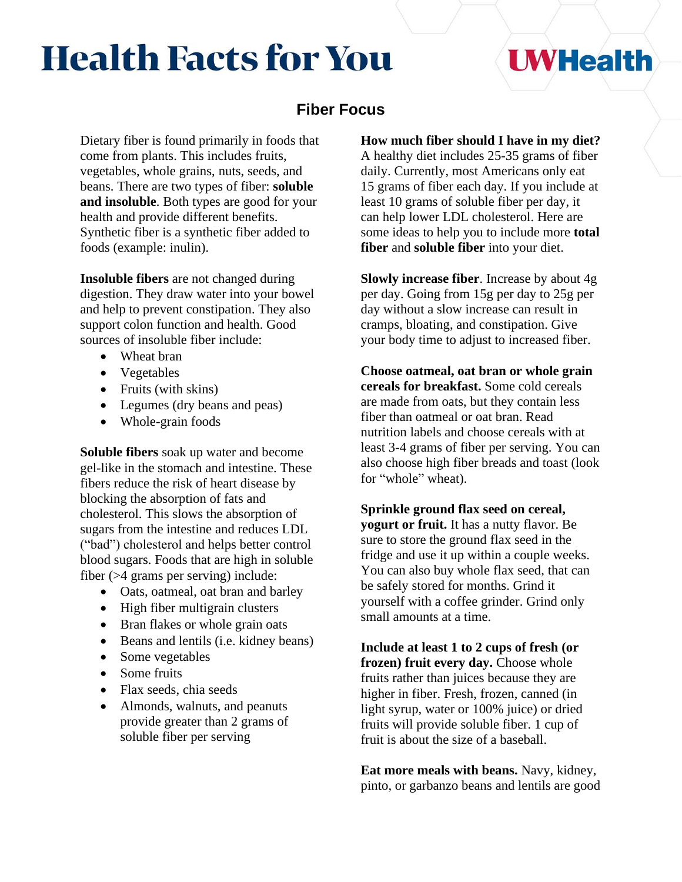# **Health Facts for You**

## **UWHealth**

## **Fiber Focus**

Dietary fiber is found primarily in foods that come from plants. This includes fruits, vegetables, whole grains, nuts, seeds, and beans. There are two types of fiber: **soluble and insoluble**. Both types are good for your health and provide different benefits. Synthetic fiber is a synthetic fiber added to foods (example: inulin).

**Insoluble fibers** are not changed during digestion. They draw water into your bowel and help to prevent constipation. They also support colon function and health. Good sources of insoluble fiber include:

- Wheat bran
- Vegetables
- Fruits (with skins)
- Legumes (dry beans and peas)
- Whole-grain foods

**Soluble fibers** soak up water and become gel-like in the stomach and intestine. These fibers reduce the risk of heart disease by blocking the absorption of fats and cholesterol. This slows the absorption of sugars from the intestine and reduces LDL ("bad") cholesterol and helps better control blood sugars. Foods that are high in soluble fiber (>4 grams per serving) include:

- Oats, oatmeal, oat bran and barley
- High fiber multigrain clusters
- Bran flakes or whole grain oats
- Beans and lentils (i.e. kidney beans)
- Some vegetables
- Some fruits
- Flax seeds, chia seeds
- Almonds, walnuts, and peanuts provide greater than 2 grams of soluble fiber per serving

**How much fiber should I have in my diet?**

A healthy diet includes 25-35 grams of fiber daily. Currently, most Americans only eat 15 grams of fiber each day. If you include at least 10 grams of soluble fiber per day, it can help lower LDL cholesterol. Here are some ideas to help you to include more **total fiber** and **soluble fiber** into your diet.

**Slowly increase fiber**. Increase by about 4g per day. Going from 15g per day to 25g per day without a slow increase can result in cramps, bloating, and constipation. Give your body time to adjust to increased fiber.

**Choose oatmeal, oat bran or whole grain cereals for breakfast.** Some cold cereals are made from oats, but they contain less fiber than oatmeal or oat bran. Read nutrition labels and choose cereals with at least 3-4 grams of fiber per serving. You can also choose high fiber breads and toast (look for "whole" wheat).

**Sprinkle ground flax seed on cereal, yogurt or fruit.** It has a nutty flavor. Be sure to store the ground flax seed in the fridge and use it up within a couple weeks. You can also buy whole flax seed, that can be safely stored for months. Grind it yourself with a coffee grinder. Grind only small amounts at a time.

**Include at least 1 to 2 cups of fresh (or frozen) fruit every day.** Choose whole fruits rather than juices because they are higher in fiber. Fresh, frozen, canned (in light syrup, water or 100% juice) or dried fruits will provide soluble fiber. 1 cup of fruit is about the size of a baseball.

**Eat more meals with beans.** Navy, kidney, pinto, or garbanzo beans and lentils are good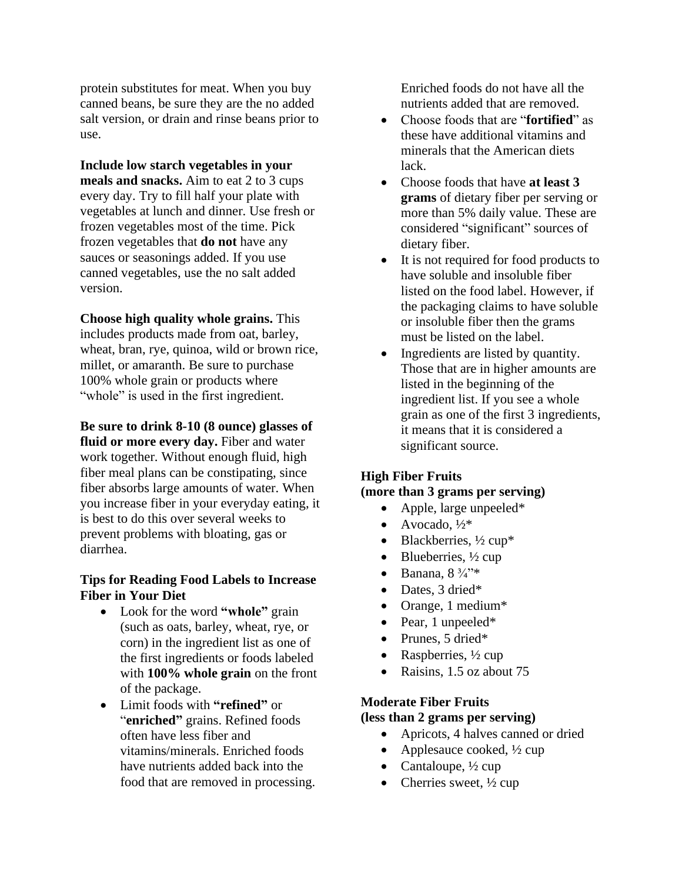protein substitutes for meat. When you buy canned beans, be sure they are the no added salt version, or drain and rinse beans prior to use.

**Include low starch vegetables in your meals and snacks.** Aim to eat 2 to 3 cups every day. Try to fill half your plate with vegetables at lunch and dinner. Use fresh or frozen vegetables most of the time. Pick frozen vegetables that **do not** have any sauces or seasonings added. If you use canned vegetables, use the no salt added version.

**Choose high quality whole grains.** This includes products made from oat, barley, wheat, bran, rye, quinoa, wild or brown rice, millet, or amaranth. Be sure to purchase 100% whole grain or products where "whole" is used in the first ingredient.

**Be sure to drink 8-10 (8 ounce) glasses of fluid or more every day.** Fiber and water work together. Without enough fluid, high fiber meal plans can be constipating, since fiber absorbs large amounts of water. When you increase fiber in your everyday eating, it is best to do this over several weeks to prevent problems with bloating, gas or diarrhea.

#### **Tips for Reading Food Labels to Increase Fiber in Your Diet**

- Look for the word **"whole"** grain (such as oats, barley, wheat, rye, or corn) in the ingredient list as one of the first ingredients or foods labeled with **100% whole grain** on the front of the package.
- Limit foods with **"refined"** or "**enriched"** grains. Refined foods often have less fiber and vitamins/minerals. Enriched foods have nutrients added back into the food that are removed in processing.

Enriched foods do not have all the nutrients added that are removed.

- Choose foods that are "**fortified**" as these have additional vitamins and minerals that the American diets lack.
- Choose foods that have **at least 3 grams** of dietary fiber per serving or more than 5% daily value. These are considered "significant" sources of dietary fiber.
- It is not required for food products to have soluble and insoluble fiber listed on the food label. However, if the packaging claims to have soluble or insoluble fiber then the grams must be listed on the label.
- Ingredients are listed by quantity. Those that are in higher amounts are listed in the beginning of the ingredient list. If you see a whole grain as one of the first 3 ingredients, it means that it is considered a significant source.

#### **High Fiber Fruits**

#### **(more than 3 grams per serving)**

- Apple, large unpeeled\*
- Avocado,  $\frac{1}{2}$ \*
- Blackberries,  $\frac{1}{2}$  cup\*
- Blueberries,  $\frac{1}{2}$  cup
- Banana,  $8\frac{3}{4}$ "\*
- Dates, 3 dried\*
- Orange, 1 medium\*
- Pear, 1 unpeeled\*
- Prunes, 5 dried\*
- Raspberries,  $\frac{1}{2}$  cup
- Raisins, 1.5 oz about 75

## **Moderate Fiber Fruits**

## **(less than 2 grams per serving)**

- Apricots, 4 halves canned or dried
- Applesauce cooked,  $\frac{1}{2}$  cup
- Cantaloupe,  $\frac{1}{2}$  cup
- Cherries sweet,  $\frac{1}{2}$  cup